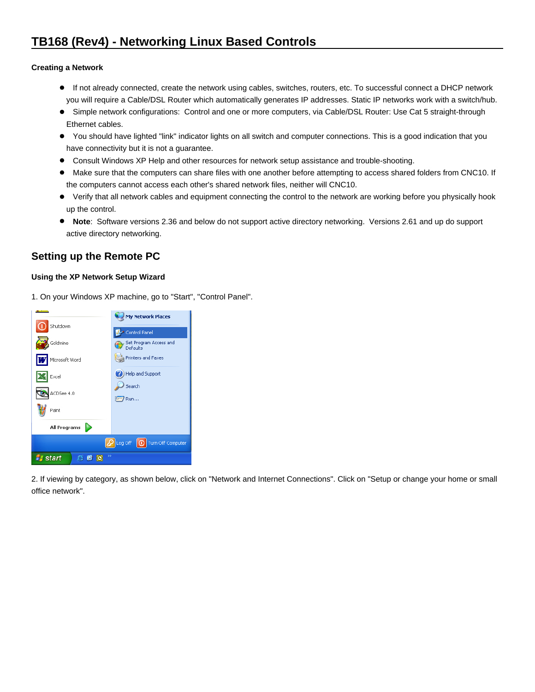## **Creating a Network**

- If not already connected, create the network using cables, switches, routers, etc. To successful connect a DHCP network you will require a Cable/DSL Router which automatically generates IP addresses. Static IP networks work with a switch/hub.
- Simple network configurations: Control and one or more computers, via Cable/DSL Router: Use Cat 5 straight-through Ethernet cables.
- You should have lighted "link" indicator lights on all switch and computer connections. This is a good indication that you have connectivity but it is not a guarantee.
- Consult Windows XP Help and other resources for network setup assistance and trouble-shooting.
- Make sure that the computers can share files with one another before attempting to access shared folders from CNC10. If the computers cannot access each other's shared network files, neither will CNC10.
- Verify that all network cables and equipment connecting the control to the network are working before you physically hook up the control.
- **Note**: Software versions 2.36 and below do not support active directory networking. Versions 2.61 and up do support active directory networking.

# **Setting up the Remote PC**

## **Using the XP Network Setup Wizard**

1. On your Windows XP machine, go to "Start", "Control Panel".



2. If viewing by category, as shown below, click on "Network and Internet Connections". Click on "Setup or change your home or small office network".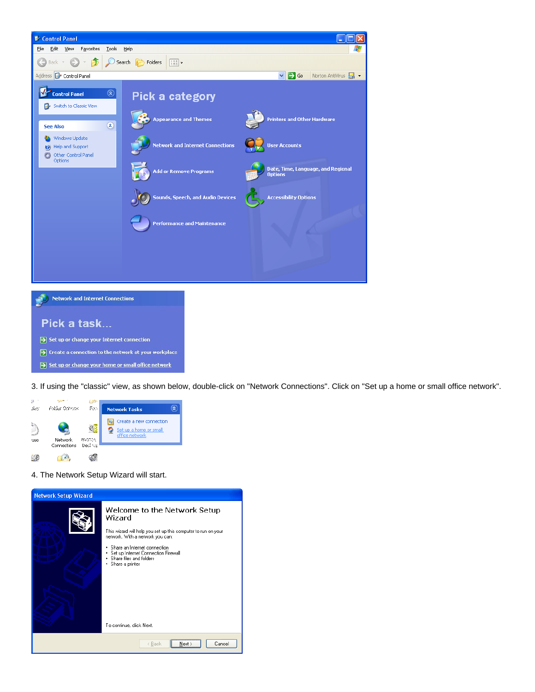

3. If using the "classic" view, as shown below, double-click on "Network Connections". Click on "Set up a home or small office network".



> Set up or change your home or small office network

4. The Network Setup Wizard will start.

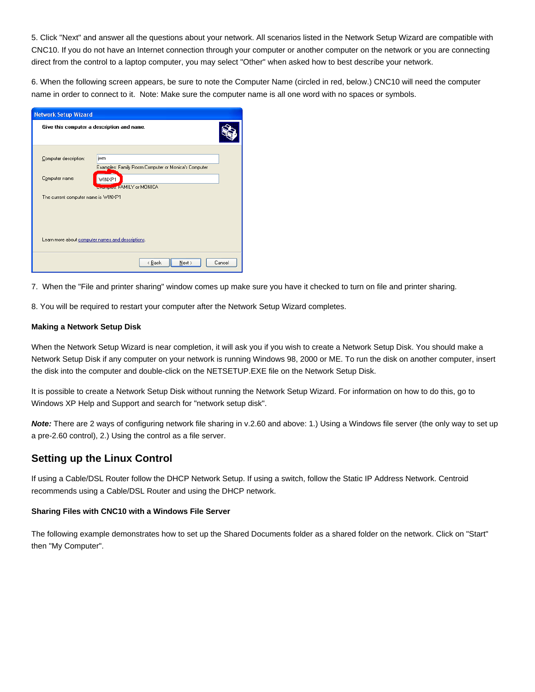5. Click "Next" and answer all the questions about your network. All scenarios listed in the Network Setup Wizard are compatible with CNC10. If you do not have an Internet connection through your computer or another computer on the network or you are connecting direct from the control to a laptop computer, you may select "Other" when asked how to best describe your network.

6. When the following screen appears, be sure to note the Computer Name (circled in red, below.) CNC10 will need the computer name in order to connect to it. Note: Make sure the computer name is all one word with no spaces or symbols.

| <b>Network Setup Wizard</b>                       |                                                            |  |  |
|---------------------------------------------------|------------------------------------------------------------|--|--|
| Give this computer a description and name.        |                                                            |  |  |
| Computer description:                             | iwm<br>Examples: Family Room Computer or Monica's Computer |  |  |
| Computer name:                                    | WINXP1<br><b>Engineers: FAMILY or MONICA</b>               |  |  |
| The current computer name is WINXP1               |                                                            |  |  |
| Learn more about computer names and descriptions. |                                                            |  |  |
|                                                   | < Back<br>Next ><br>Cancel                                 |  |  |

7. When the "File and printer sharing" window comes up make sure you have it checked to turn on file and printer sharing.

8. You will be required to restart your computer after the Network Setup Wizard completes.

#### **Making a Network Setup Disk**

When the Network Setup Wizard is near completion, it will ask you if you wish to create a Network Setup Disk. You should make a Network Setup Disk if any computer on your network is running Windows 98, 2000 or ME. To run the disk on another computer, insert the disk into the computer and double-click on the NETSETUP.EXE file on the Network Setup Disk.

It is possible to create a Network Setup Disk without running the Network Setup Wizard. For information on how to do this, go to Windows XP Help and Support and search for "network setup disk".

**Note:** There are 2 ways of configuring network file sharing in v.2.60 and above: 1.) Using a Windows file server (the only way to set up a pre-2.60 control), 2.) Using the control as a file server.

## **Setting up the Linux Control**

If using a Cable/DSL Router follow the DHCP Network Setup. If using a switch, follow the Static IP Address Network. Centroid recommends using a Cable/DSL Router and using the DHCP network.

#### **Sharing Files with CNC10 with a Windows File Server**

The following example demonstrates how to set up the Shared Documents folder as a shared folder on the network. Click on "Start" then "My Computer".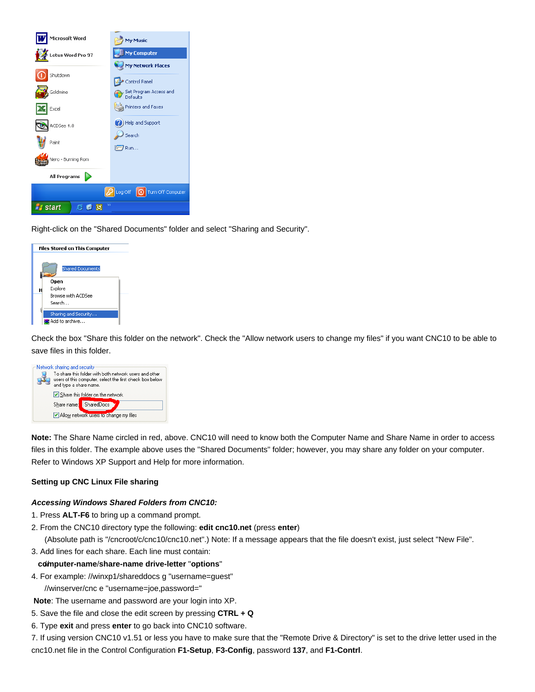

Right-click on the "Shared Documents" folder and select "Sharing and Security".



Check the box "Share this folder on the network". Check the "Allow network users to change my files" if you want CNC10 to be able to save files in this folder.



**Note:** The Share Name circled in red, above. CNC10 will need to know both the Computer Name and Share Name in order to access files in this folder. The example above uses the "Shared Documents" folder; however, you may share any folder on your computer. Refer to Windows XP Support and Help for more information.

## **Setting up CNC Linux File sharing**

#### **Accessing Windows Shared Folders from CNC10:**

- 1. Press **ALT-F6** to bring up a command prompt.
- 2. From the CNC10 directory type the following: **edit cnc10.net** (press **enter**)

(Absolute path is "/cncroot/c/cnc10/cnc10.net".) Note: If a message appears that the file doesn't exist, just select "New File".

3. Add lines for each share. Each line must contain:

#### // **computer-name**/**share-name drive-letter** "**options**"

4. For example: //winxp1/shareddocs g "username=guest"

//winserver/cnc e "username=joe,password="

**Note**: The username and password are your login into XP.

- 5. Save the file and close the edit screen by pressing **CTRL + Q**
- 6. Type **exit** and press **enter** to go back into CNC10 software.

7. If using version CNC10 v1.51 or less you have to make sure that the "Remote Drive & Directory" is set to the drive letter used in the cnc10.net file in the Control Configuration **F1-Setup**, **F3-Config**, password **137**, and **F1-Contrl**.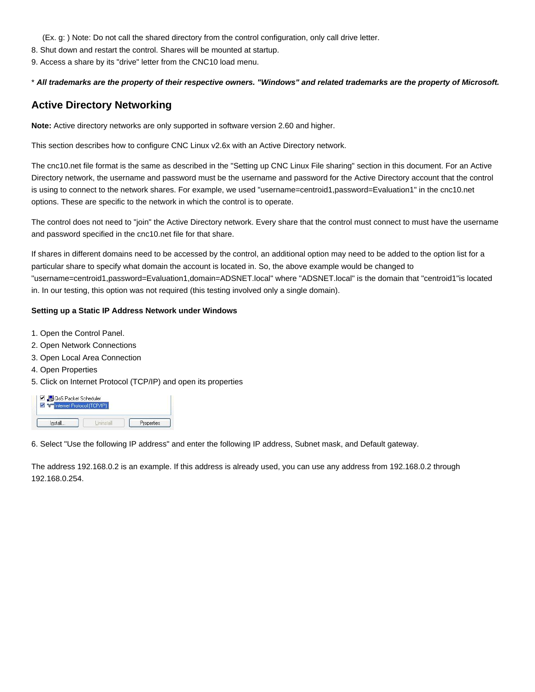(Ex. g: ) Note: Do not call the shared directory from the control configuration, only call drive letter.

8. Shut down and restart the control. Shares will be mounted at startup.

9. Access a share by its "drive" letter from the CNC10 load menu.

## \* **All trademarks are the property of their respective owners. "Windows" and related trademarks are the property of Microsoft.**

# **Active Directory Networking**

**Note:** Active directory networks are only supported in software version 2.60 and higher.

This section describes how to configure CNC Linux v2.6x with an Active Directory network.

The cnc10.net file format is the same as described in the "Setting up CNC Linux File sharing" section in this document. For an Active Directory network, the username and password must be the username and password for the Active Directory account that the control is using to connect to the network shares. For example, we used "username=centroid1,password=Evaluation1" in the cnc10.net options. These are specific to the network in which the control is to operate.

The control does not need to "join" the Active Directory network. Every share that the control must connect to must have the username and password specified in the cnc10.net file for that share.

If shares in different domains need to be accessed by the control, an additional option may need to be added to the option list for a particular share to specify what domain the account is located in. So, the above example would be changed to "username=centroid1,password=Evaluation1,domain=ADSNET.local" where "ADSNET.local" is the domain that "centroid1"is located in. In our testing, this option was not required (this testing involved only a single domain).

### **Setting up a Static IP Address Network under Windows**

- 1. Open the Control Panel.
- 2. Open Network Connections
- 3. Open Local Area Connection
- 4. Open Properties
- 5. Click on Internet Protocol (TCP/IP) and open its properties

| O OS Packet Scheduler    |  |
|--------------------------|--|
| Themet Protocol (TCP/IP) |  |
|                          |  |

6. Select "Use the following IP address" and enter the following IP address, Subnet mask, and Default gateway.

The address 192.168.0.2 is an example. If this address is already used, you can use any address from 192.168.0.2 through 192.168.0.254.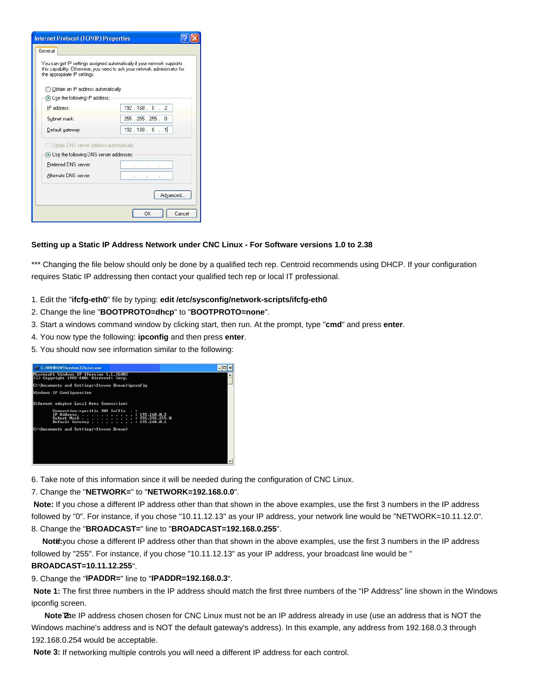| <b>Internet Protocol (TCP/IP) Properties</b> |                                                                                                                                                       |  |  |  |  |
|----------------------------------------------|-------------------------------------------------------------------------------------------------------------------------------------------------------|--|--|--|--|
| General                                      |                                                                                                                                                       |  |  |  |  |
| the appropriate IP settings.                 | You can get IP settings assigned automatically if your network supports<br>this capability. Otherwise, you need to ask your network administrator for |  |  |  |  |
| Obtain an IP address automatically           |                                                                                                                                                       |  |  |  |  |
| Use the following IP address:                |                                                                                                                                                       |  |  |  |  |
| IP address:                                  | 192.168.0.2                                                                                                                                           |  |  |  |  |
| Subnet mask:                                 | 255 . 255 . 255 . 0                                                                                                                                   |  |  |  |  |
| Default gateway:                             | 192.168.0.1                                                                                                                                           |  |  |  |  |
| O Obtain DNS server address automatically    |                                                                                                                                                       |  |  |  |  |
| (•) Use the following DNS server addresses:  |                                                                                                                                                       |  |  |  |  |
| Preferred DNS server:                        |                                                                                                                                                       |  |  |  |  |
| Alternate DNS server:                        |                                                                                                                                                       |  |  |  |  |
|                                              | Advanced                                                                                                                                              |  |  |  |  |
|                                              | OK<br>Cancel                                                                                                                                          |  |  |  |  |

## **Setting up a Static IP Address Network under CNC Linux - For Software versions 1.0 to 2.38**

\*\*\* Changing the file below should only be done by a qualified tech rep. Centroid recommends using DHCP. If your configuration requires Static IP addressing then contact your qualified tech rep or local IT professional.

- 1. Edit the "**ifcfg-eth0**" file by typing: **edit /etc/sysconfig/network-scripts/ifcfg-eth0**
- 2. Change the line "**BOOTPROTO=dhcp**" to "**BOOTPROTO=none**".
- 3. Start a windows command window by clicking start, then run. At the prompt, type "**cmd**" and press **enter**.
- 4. You now type the following: **ipconfig** and then press **enter**.
- 5. You should now see information similar to the following:

| 03 C:WINDOWS\system32\cmd.exe                                                                                                 |  |
|-------------------------------------------------------------------------------------------------------------------------------|--|
| Microsoft Windows XP [Uersion 5.1.2600]<br>(C) Copyright 1985-2001 Microsoft Corp.                                            |  |
| C:\Documents and Settings\Steven Brown>ipconfig                                                                               |  |
| <b>Mindows IP Configuration</b>                                                                                               |  |
| Ethernet adapter Local Area Connection:                                                                                       |  |
| Connection-specific DNS Suffix . :<br>IP Address. 192.168.0.2<br>Subnet Mask : 255.255.255.0<br>Default Gateway : 192.168.0.1 |  |
| C:\Documents and Settings\Steven Brown>                                                                                       |  |
|                                                                                                                               |  |
|                                                                                                                               |  |
|                                                                                                                               |  |
|                                                                                                                               |  |

6. Take note of this information since it will be needed during the configuration of CNC Linux.

## 7. Change the "**NETWORK=**" to "**NETWORK=192.168.0.0**".

 **Note:** If you chose a different IP address other than that shown in the above examples, use the first 3 numbers in the IP address followed by "0". For instance, if you chose "10.11.12.13" as your IP address, your network line would be "NETWORK=10.11.12.0". 8. Change the "**BROADCAST=**" line to "**BROADCAST=192.168.0.255**".

Notë: you chose a different IP address other than that shown in the above examples, use the first 3 numbers in the IP address followed by "255". For instance, if you chose "10.11.12.13" as your IP address, your broadcast line would be "

## **BROADCAST=10.11.12.255**".

## 9. Change the "**IPADDR=**" line to "**IPADDR=192.168.0.3**".

 **Note 1:** The first three numbers in the IP address should match the first three numbers of the "IP Address" line shown in the Windows ipconfig screen.

Note The IP address chosen chosen for CNC Linux must not be an IP address already in use (use an address that is NOT the Windows machine's address and is NOT the default gateway's address). In this example, any address from 192.168.0.3 through 192.168.0.254 would be acceptable.

**Note 3:** If networking multiple controls you will need a different IP address for each control.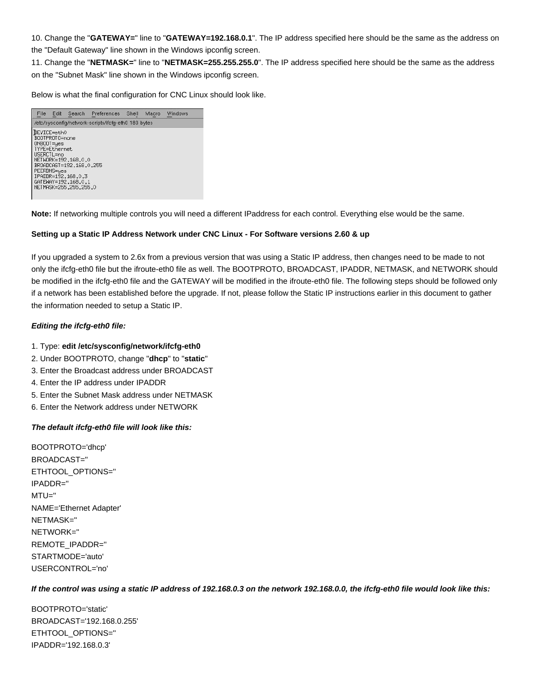10. Change the "**GATEWAY=**" line to "**GATEWAY=192.168.0.1**". The IP address specified here should be the same as the address on the "Default Gateway" line shown in the Windows ipconfig screen.

11. Change the "**NETMASK=**" line to "**NETMASK=255.255.255.0**". The IP address specified here should be the same as the address on the "Subnet Mask" line shown in the Windows ipconfig screen.

Below is what the final configuration for CNC Linux should look like.



**Note:** If networking multiple controls you will need a different IPaddress for each control. Everything else would be the same.

#### **Setting up a Static IP Address Network under CNC Linux - For Software versions 2.60 & up**

If you upgraded a system to 2.6x from a previous version that was using a Static IP address, then changes need to be made to not only the ifcfg-eth0 file but the ifroute-eth0 file as well. The BOOTPROTO, BROADCAST, IPADDR, NETMASK, and NETWORK should be modified in the ifcfg-eth0 file and the GATEWAY will be modified in the ifroute-eth0 file. The following steps should be followed only if a network has been established before the upgrade. If not, please follow the Static IP instructions earlier in this document to gather the information needed to setup a Static IP.

#### **Editing the ifcfg-eth0 file:**

#### 1. Type: **edit /etc/sysconfig/network/ifcfg-eth0**

- 2. Under BOOTPROTO, change "**dhcp**" to "**static**"
- 3. Enter the Broadcast address under BROADCAST
- 4. Enter the IP address under IPADDR
- 5. Enter the Subnet Mask address under NETMASK
- 6. Enter the Network address under NETWORK

#### **The default ifcfg-eth0 file will look like this:**

BOOTPROTO='dhcp' BROADCAST='' ETHTOOL\_OPTIONS='' IPADDR='' MTU='' NAME='Ethernet Adapter' NETMASK='' NETWORK='' REMOTE\_IPADDR='' STARTMODE='auto' USERCONTROL='no'

#### **If the control was using a static IP address of 192.168.0.3 on the network 192.168.0.0, the ifcfg-eth0 file would look like this:**

BOOTPROTO='static' BROADCAST='192.168.0.255' ETHTOOL\_OPTIONS='' IPADDR='192.168.0.3'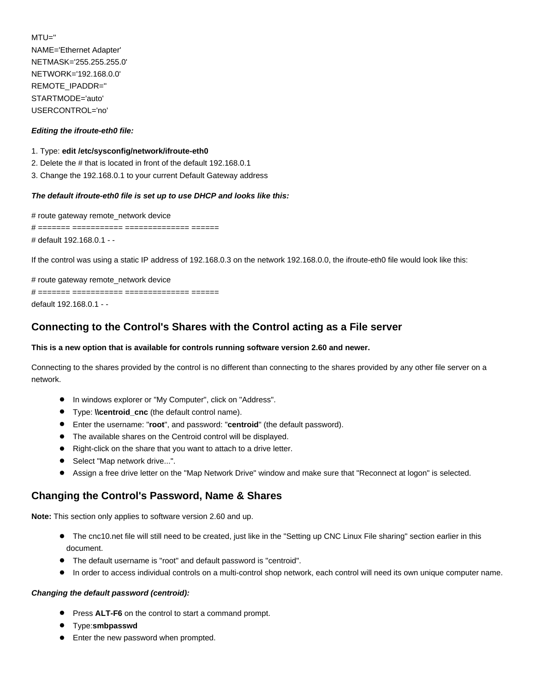MTU='' NAME='Ethernet Adapter' NETMASK='255.255.255.0' NETWORK='192.168.0.0' REMOTE\_IPADDR='' STARTMODE='auto' USERCONTROL='no'

### **Editing the ifroute-eth0 file:**

### 1. Type: **edit /etc/sysconfig/network/ifroute-eth0**

- 2. Delete the # that is located in front of the default 192.168.0.1
- 3. Change the 192.168.0.1 to your current Default Gateway address

### **The default ifroute-eth0 file is set up to use DHCP and looks like this:**

# route gateway remote\_network device # ======= =========== ============== ====== # default 192.168.0.1 - -

If the control was using a static IP address of 192.168.0.3 on the network 192.168.0.0, the ifroute-eth0 file would look like this:

# route gateway remote network device

# ======= =========== ============== ====== default 192.168.0.1 - -

# **Connecting to the Control's Shares with the Control acting as a File server**

### **This is a new option that is available for controls running software version 2.60 and newer.**

Connecting to the shares provided by the control is no different than connecting to the shares provided by any other file server on a network.

- In windows explorer or "My Computer", click on "Address".
- Type: **\\centroid\_cnc** (the default control name).
- Enter the username: "**root**", and password: "**centroid**" (the default password).
- The available shares on the Centroid control will be displayed.
- Right-click on the share that you want to attach to a drive letter.  $\bullet$
- Select "Map network drive...".
- Assign a free drive letter on the "Map Network Drive" window and make sure that "Reconnect at logon" is selected.  $\bullet$

## **Changing the Control's Password, Name & Shares**

**Note:** This section only applies to software version 2.60 and up.

- The cnc10.net file will still need to be created, just like in the "Setting up CNC Linux File sharing" section earlier in this document.
- The default username is "root" and default password is "centroid".
- In order to access individual controls on a multi-control shop network, each control will need its own unique computer name.  $\bullet$

#### **Changing the default password (centroid):**

- **Press ALT-F6** on the control to start a command prompt.
- **•** Type: smbpasswd
- **•** Enter the new password when prompted.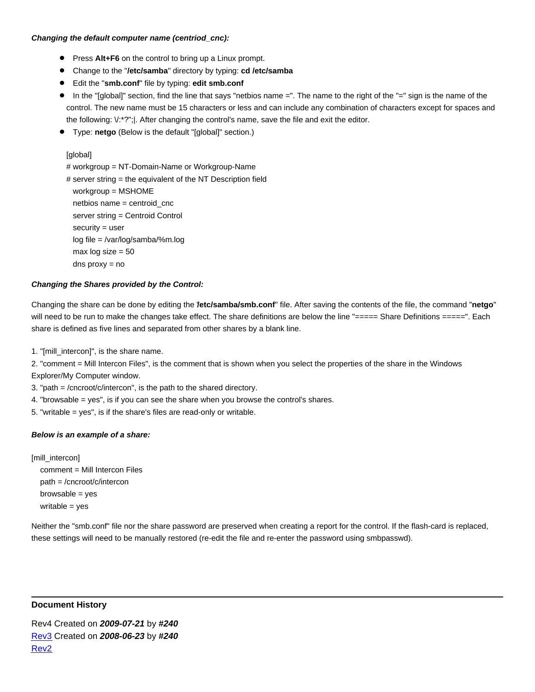## **Changing the default computer name (centriod\_cnc):**

- **•** Press Alt+F6 on the control to bring up a Linux prompt.
- Change to the "**/etc/samba**" directory by typing: **cd /etc/samba**
- Edit the "**smb.conf**" file by typing: **edit smb.conf**
- In the "[global]" section, find the line that says "netbios name =". The name to the right of the "=" sign is the name of the control. The new name must be 15 characters or less and can include any combination of characters except for spaces and the following: \/:\*?";|. After changing the control's name, save the file and exit the editor.
- Type: **netgo** (Below is the default "[global]" section.)

```
[global]
```
# workgroup = NT-Domain-Name or Workgroup-Name

```
# server string = the equivalent of the NT Description field
 workgroup = MSHOME
net bios name = centroid cnc
server string = Centroid Control
 security = user
 log file = /var/log/samba/%m.log
max log size = 50 dns proxy = no
```
## **Changing the Shares provided by the Control:**

Changing the share can be done by editing the "**/etc/samba/smb.conf**" file. After saving the contents of the file, the command "**netgo**" will need to be run to make the changes take effect. The share definitions are below the line "===== Share Definitions =====". Each share is defined as five lines and separated from other shares by a blank line.

1. "[mill\_intercon]", is the share name.

2. "comment = Mill Intercon Files", is the comment that is shown when you select the properties of the share in the Windows Explorer/My Computer window.

3. "path = /cncroot/c/intercon", is the path to the shared directory.

4. "browsable = yes", is if you can see the share when you browse the control's shares.

5. "writable = yes", is if the share's files are read-only or writable.

## **Below is an example of a share:**

[mill\_intercon] comment = Mill Intercon Files path = /cncroot/c/intercon  $browsable = yes$ writable = yes

Neither the "smb.conf" file nor the share password are preserved when creating a report for the control. If the flash-card is replaced, these settings will need to be manually restored (re-edit the file and re-enter the password using smbpasswd).

## **Document History**

Rev4 Created on **2009-07-21** by **#240** [Rev3](showtb.php?TBID=168&Revision=3) Created on **2008-06-23** by **#240** [Rev2](showtb.php?TBID=168&Revision=2)